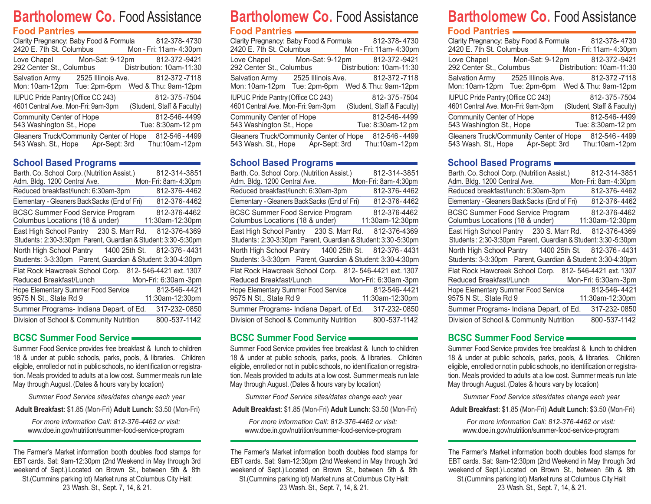## **Bartholomew Co.** Food Assistance **Food Pantries**

| FUUU FAIILIIES                                                           |                                                                                                   |
|--------------------------------------------------------------------------|---------------------------------------------------------------------------------------------------|
| 2420 E. 7th St. Columbus                                                 | Clarity Pregnancy: Baby Food & Formula 812-378-4730<br>Mon - Fri: 11am- 4:30pm                    |
| 292 Center St., Columbus                                                 | Love Chapel Mon-Sat: 9-12pm 812-372-9421<br>Distribution: 10am-11:30                              |
|                                                                          | Salvation Army 2525 Illinois Ave. 812-372-7118<br>Mon: 10am-12pm Tue: 2pm-6pm Wed & Thu: 9am-12pm |
| IUPUC Pride Pantry (Office CC 243)<br>4601 Central Ave. Mon-Fri: 9am-3pm | 812-375-7504<br>(Student, Staff & Faculty)                                                        |
| Community Center of Hope<br>543 Washington St., Hope                     | 812-546-4499<br>Tue: 8:30am-12 pm                                                                 |
| Gleaners Truck/Community Center of Hope                                  | 812-546 - 4499<br>543 Wash. St., Hope Apr-Sept: 3rd Thu:10am-12pm                                 |

## **School Based Programs**

| Barth. Co. School Corp. (Nutrition Assist.)                   | 812-314-3851           |
|---------------------------------------------------------------|------------------------|
| Adm. Bldg. 1200 Central Ave.                                  | Mon-Fri: 8am-4:30pm    |
| Reduced breakfast/lunch: 6:30am-3pm                           | 812-376-4462           |
| Elementary - Gleaners BackSacks (End of Fri)                  | 812-376-4462           |
| <b>BCSC Summer Food Service Program</b>                       | 812-376-4462           |
| Columbus Locations (18 & under)                               | 11:30am-12:30pm        |
| East High School Pantry 230 S. Marr Rd.                       | 812-376-4369           |
| Students: 2:30-3:30pm Parent, Guardian & Student: 3:30-5:30pm |                        |
| North High School Pantry 1400 25th St.                        | 812-376-4431           |
| Students: 3-3:30pm Parent, Guardian & Student: 3:30-4:30pm    |                        |
| Flat Rock Hawcreek School Corp.                               | 812-546-4421 ext. 1307 |
| Reduced Breakfast/Lunch                                       | Mon-Fri: 6:30am-3pm    |
| <b>Hope Elementary Summer Food Service</b>                    | 812-546-4421           |
| 9575 N St., State Rd 9                                        | 11:30am-12:30pm        |
| Summer Programs- Indiana Depart. of Ed.                       | 317-232-0850           |
| Division of School & Community Nutrition                      | 800-537-1142           |

## **BCSC Summer Food Service**

Summer Food Service provides free breakfast & lunch to children 18 & under at public schools, parks, pools, & libraries. Children eligible, enrolled or not in public schools, no identification or registration. Meals provided to adults at a low cost. Summer meals run late May through August. (Dates & hours vary by location)

*Summer Food Service sites/dates change each year*

**Adult Breakfast**: \$1.85 (Mon-Fri) **Adult Lunch**: \$3.50 (Mon-Fri)

*For more information Call: 812-376-4462 or visit:* www.doe.in.gov/nutrition/summer-food-service-program

The Farmer's Market information booth doubles food stamps for EBT cards. Sat: 9am-12:30pm (2nd Weekend in May through 3rd weekend of Sept.) Located on Brown St., between 5th & 8th St.(Cummins parking lot) Market runs at Columbus City Hall: 23 Wash. St., Sept. 7, 14, & 21.

## **Bartholomew Co.** Food Assistance **Food Pantries**

## Clarity Pregnancy: Baby Food & Formula 812-378- 4730<br>2420 E. 7th St. Columbus Mon - Fri: 11am- 4:30pm  $2420$  E. 7th St. Columbus Love Chapel Mon-Sat: 9-12pm 812-372 -9421<br>192 Center St., Columbus Distribution: 10am-11:30 292 Center St., Columbus Salvation Army 2525 Illinois Ave. 812-372 -7118 Mon: 10am-12pm Tue: 2pm-6pm Wed & Thu: 9am-12pm Community Center of Hope 812-546- 4499<br>543 Washington St., Hope Tue: 8:30am-12 pm 543 Washington St., Hope Gleaners Truck/Community Center of Hope 812-546 - 4499 543 Wash. St., Hope Apr-Sept: 3rd Thu:10am-12pm IUPUC Pride Pantry (Office CC 243) 812- 375 -7504 4601Central Ave. Mon-Fri: 9am-3pm (Student, Staff & Faculty)

## **School Based Programs**

| Barth. Co. School Corp. (Nutrition Assist.)<br>Adm. Bldg. 1200 Central Ave.                              | 812-314-3851<br>Mon-Fri: 8am-4:30pm           |
|----------------------------------------------------------------------------------------------------------|-----------------------------------------------|
| Reduced breakfast/lunch: 6:30am-3pm                                                                      | 812-376-4462                                  |
| Elementary - Gleaners BackSacks (End of Fri)                                                             | 812-376-4462                                  |
| <b>BCSC Summer Food Service Program</b><br>Columbus Locations (18 & under)                               | 812-376-4462<br>11:30am-12:30pm               |
| East High School Pantry 230 S. Marr Rd.<br>Students: 2:30-3:30pm Parent, Guardian & Student: 3:30-5:30pm | 812-376-4369                                  |
| North High School Pantry 1400 25th St.<br>Students: 3-3:30pm Parent, Guardian & Student: 3:30-4:30pm     | 812-376 - 4431                                |
| Flat Rock Hawcreek School Corp.<br>Reduced Breakfast/Lunch                                               | 812-546-4421 ext. 1307<br>Mon-Fri: 6:30am-3pm |
| <b>Hope Elementary Summer Food Service</b><br>9575 N St., State Rd 9                                     | 812-546-4421<br>11:30am-12:30pm               |
| Summer Programs- Indiana Depart. of Ed.                                                                  | 317-232-0850                                  |
| Division of School & Community Nutrition                                                                 | 800-537-1142                                  |

## **BCSC Summer Food Service**

Summer Food Service provides free breakfast & lunch to children 18 & under at public schools, parks, pools, & libraries. Children eligible, enrolled or not in public schools, no identification or registration. Meals provided to adults at a low cost. Summer meals run late May through August. (Dates & hours vary by location)

*Summer Food Service sites/dates change each year*

**Adult Breakfast**: \$1.85 (Mon-Fri) **Adult Lunch**: \$3.50 (Mon-Fri)

*For more information Call: 812-376-4462 or visit:* www.doe.in.gov/nutrition/summer-food-service-program

The Farmer's Market information booth doubles food stamps for EBT cards. Sat: 9am-12:30pm (2nd Weekend in May through 3rd weekend of Sept.) Located on Brown St., between 5th & 8th St.(Cummins parking lot) Market runs at Columbus City Hall: 23 Wash. St., Sept. 7, 14, & 21.

# **Bartholomew Co.** Food Assistance

## **Food Pantries**

| Clarity Pregnancy: Baby Food & Formula 812-378-4730<br>2420 E. 7th St. Columbus                   |  | Mon - Fri: 11am- 4:30pm                    |
|---------------------------------------------------------------------------------------------------|--|--------------------------------------------|
| Love Chapel Mon-Sat: 9-12pm 812-372-9421<br>292 Center St., Columbus                              |  | Distribution: 10am-11:30                   |
| Salvation Army 2525 Illinois Ave. 812-372-7118<br>Mon: 10am-12pm Tue: 2pm-6pm Wed & Thu: 9am-12pm |  |                                            |
| <b>IUPUC Pride Pantry (Office CC 243)</b><br>4601 Central Ave. Mon-Fri: 9am-3pm                   |  | 812-375-7504<br>(Student, Staff & Faculty) |
| Community Center of Hope<br>543 Washington St., Hope                                              |  | 812-546-4499<br>Tue: 8:30am-12 pm          |
| Gleaners Truck/Community Center of Hope<br>543 Wash. St., Hope Apr-Sept: 3rd Thu:10am-12pm        |  | 812-546 - 4499                             |

## **School Based Programs**

| Barth. Co. School Corp. (Nutrition Assist.)                                                          | 812-314-3851        |
|------------------------------------------------------------------------------------------------------|---------------------|
| Adm. Bldg. 1200 Central Ave.                                                                         | Mon-Fri: 8am-4:30pm |
| Reduced breakfast/lunch: 6:30am-3pm                                                                  | 812-376-4462        |
| Elementary - Gleaners Back Sacks (End of Fri)                                                        | 812-376-4462        |
| <b>BCSC Summer Food Service Program</b>                                                              | 812-376-4462        |
| Columbus Locations (18 & under)                                                                      | 11:30am-12:30pm     |
| East High School Pantry 230 S. Marr Rd.                                                              | 812-376-4369        |
| Students: 2:30-3:30pm Parent, Guardian & Student: 3:30-5:30pm                                        |                     |
| North High School Pantry 1400 25th St.<br>Students: 3-3:30pm Parent, Guardian & Student: 3:30-4:30pm | 812-376-4431        |
|                                                                                                      |                     |
| Flat Rock Hawcreek School Corp. 812-546-4421 ext. 1307                                               |                     |
| Reduced Breakfast/Lunch                                                                              | Mon-Fri: 6:30am-3pm |
| <b>Hope Elementary Summer Food Service</b>                                                           | 812-546-4421        |
| 9575 N St., State Rd 9                                                                               | 11:30am-12:30pm     |
| Summer Programs- Indiana Depart. of Ed.                                                              | 317-232-0850        |
| Division of School & Community Nutrition                                                             | 800-537-1142        |

## **BCSC Summer Food Service**

Summer Food Service provides free breakfast & lunch to children 18 & under at public schools, parks, pools, & libraries. Children eligible, enrolled or not in public schools, no identification or registration. Meals provided to adults at a low cost. Summer meals run late May through August. (Dates & hours vary by location)

*Summer Food Service sites/dates change each year*

**Adult Breakfast**: \$1.85 (Mon-Fri) **Adult Lunch**: \$3.50 (Mon-Fri)

*For more information Call: 812-376-4462 or visit:* www.doe.in.gov/nutrition/summer-food-service-program

The Farmer's Market information booth doubles food stamps for EBT cards. Sat: 9am-12:30pm (2nd Weekend in May through 3rd weekend of Sept.) Located on Brown St., between 5th & 8th St.(Cummins parking lot) Market runs at Columbus City Hall: 23 Wash. St., Sept. 7, 14, & 21.